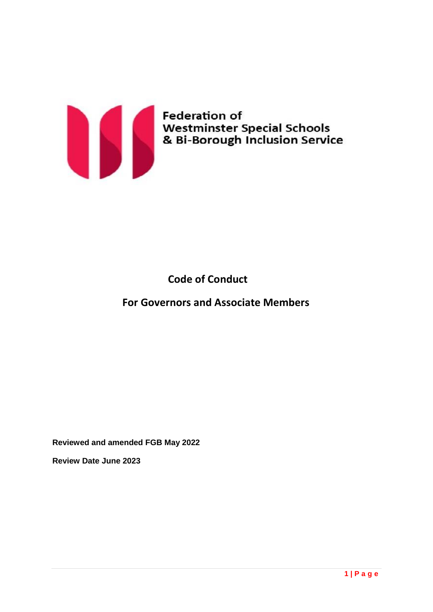

# **Code of Conduct**

# **For Governors and Associate Members**

**Reviewed and amended FGB May 2022**

**Review Date June 2023**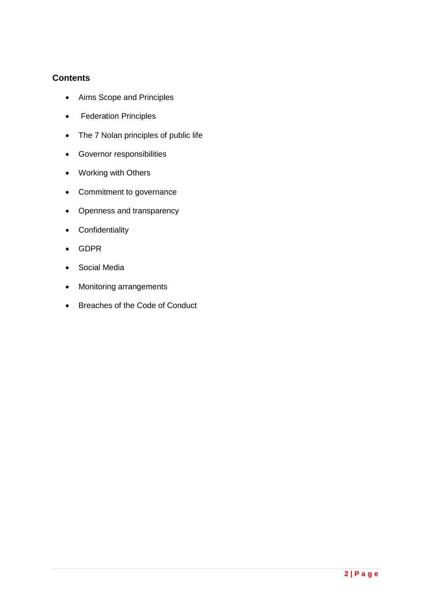## **Contents**

- Aims Scope and Principles
- Federation Principles
- The 7 Nolan principles of public life
- Governor responsibilities
- Working with Others
- Commitment to governance
- Openness and transparency
- **•** Confidentiality
- GDPR
- Social Media
- Monitoring arrangements
- Breaches of the Code of Conduct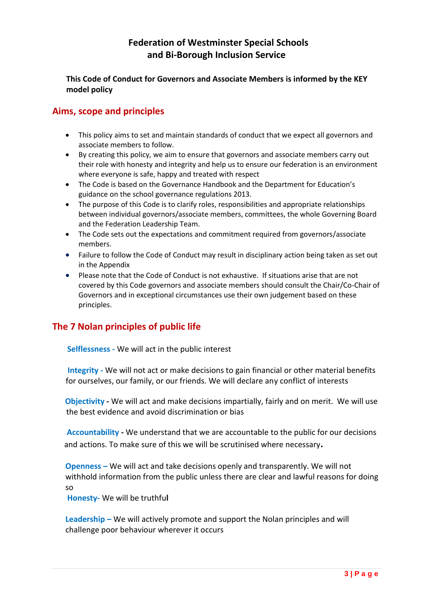# **Federation of Westminster Special Schools and Bi-Borough Inclusion Service**

### **This Code of Conduct for Governors and Associate Members is informed by the KEY model policy**

### **Aims, scope and principles**

- This policy aims to set and maintain standards of conduct that we expect all governors and associate members to follow.
- By creating this policy, we aim to ensure that governors and associate members carry out their role with honesty and integrity and help us to ensure our federation is an environment where everyone is safe, happy and treated with respect
- The Code is based on the Governance Handbook and the Department for Education's guidance on the school governance regulations 2013.
- The purpose of this Code is to clarify roles, responsibilities and appropriate relationships between individual governors/associate members, committees, the whole Governing Board and the Federation Leadership Team.
- The Code sets out the expectations and commitment required from governors/associate members.
- Failure to follow the Code of Conduct may result in disciplinary action being taken as set out in the Appendix
- Please note that the Code of Conduct is not exhaustive. If situations arise that are not covered by this Code governors and associate members should consult the Chair/Co-Chair of Governors and in exceptional circumstances use their own judgement based on these principles.

# **The 7 Nolan principles of public life**

**Selflessness -** We will act in the public interest

**Integrity -** We will not act or make decisions to gain financial or other material benefits for ourselves, our family, or our friends. We will declare any conflict of interests

 **Objectivity -** We will act and make decisions impartially, fairly and on merit. We will use the best evidence and avoid discrimination or bias

 **Accountability -** We understand that we are accountable to the public for our decisions and actions. To make sure of this we will be scrutinised where necessary**.**

**Openness –** We will act and take decisions openly and transparently. We will not withhold information from the public unless there are clear and lawful reasons for doing so

**Honesty-** We will be truthfu**l**

**Leadership –** We will actively promote and support the Nolan principles and will challenge poor behaviour wherever it occurs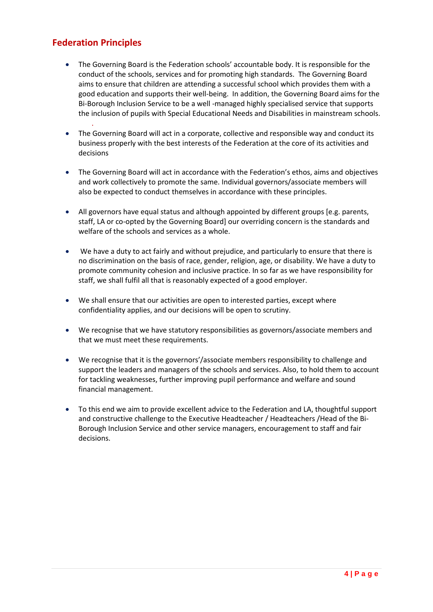# **Federation Principles**

.

- The Governing Board is the Federation schools' accountable body. It is responsible for the conduct of the schools, services and for promoting high standards. The Governing Board aims to ensure that children are attending a successful school which provides them with a good education and supports their well-being. In addition, the Governing Board aims for the Bi-Borough Inclusion Service to be a well -managed highly specialised service that supports the inclusion of pupils with Special Educational Needs and Disabilities in mainstream schools.
- The Governing Board will act in a corporate, collective and responsible way and conduct its business properly with the best interests of the Federation at the core of its activities and decisions
- The Governing Board will act in accordance with the Federation's ethos, aims and objectives and work collectively to promote the same. Individual governors/associate members will also be expected to conduct themselves in accordance with these principles.
- All governors have equal status and although appointed by different groups [e.g. parents, staff, LA or co-opted by the Governing Board] our overriding concern is the standards and welfare of the schools and services as a whole.
- We have a duty to act fairly and without prejudice, and particularly to ensure that there is no discrimination on the basis of race, gender, religion, age, or disability. We have a duty to promote community cohesion and inclusive practice. In so far as we have responsibility for staff, we shall fulfil all that is reasonably expected of a good employer.
- We shall ensure that our activities are open to interested parties, except where confidentiality applies, and our decisions will be open to scrutiny.
- We recognise that we have statutory responsibilities as governors/associate members and that we must meet these requirements.
- We recognise that it is the governors'/associate members responsibility to challenge and support the leaders and managers of the schools and services. Also, to hold them to account for tackling weaknesses, further improving pupil performance and welfare and sound financial management.
- To this end we aim to provide excellent advice to the Federation and LA, thoughtful support and constructive challenge to the Executive Headteacher / Headteachers /Head of the Bi-Borough Inclusion Service and other service managers, encouragement to staff and fair decisions.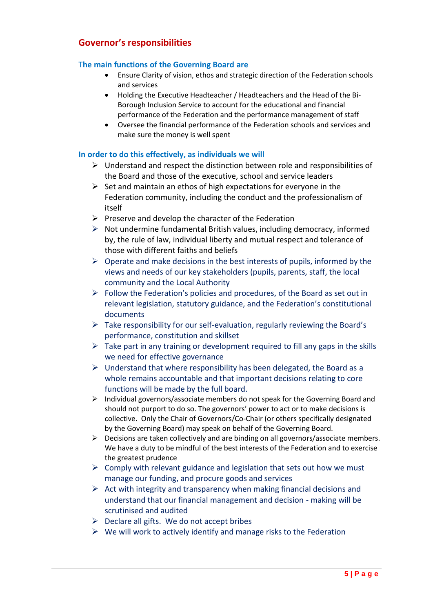### **Governor's responsibilities**

#### T**he main functions of the Governing Board are**

- Ensure Clarity of vision, ethos and strategic direction of the Federation schools and services
- Holding the Executive Headteacher / Headteachers and the Head of the Bi-Borough Inclusion Service to account for the educational and financial performance of the Federation and the performance management of staff
- Oversee the financial performance of the Federation schools and services and make sure the money is well spent

#### **In order to do this effectively, as individuals we will**

- $\triangleright$  Understand and respect the distinction between role and responsibilities of the Board and those of the executive, school and service leaders
- $\triangleright$  Set and maintain an ethos of high expectations for everyone in the Federation community, including the conduct and the professionalism of itself
- $\triangleright$  Preserve and develop the character of the Federation
- $\triangleright$  Not undermine fundamental British values, including democracy, informed by, the rule of law, individual liberty and mutual respect and tolerance of those with different faiths and beliefs
- $\triangleright$  Operate and make decisions in the best interests of pupils, informed by the views and needs of our key stakeholders (pupils, parents, staff, the local community and the Local Authority
- $\triangleright$  Follow the Federation's policies and procedures, of the Board as set out in relevant legislation, statutory guidance, and the Federation's constitutional documents
- $\triangleright$  Take responsibility for our self-evaluation, regularly reviewing the Board's performance, constitution and skillset
- $\triangleright$  Take part in any training or development required to fill any gaps in the skills we need for effective governance
- $\triangleright$  Understand that where responsibility has been delegated, the Board as a whole remains accountable and that important decisions relating to core functions will be made by the full board.
- $\triangleright$  Individual governors/associate members do not speak for the Governing Board and should not purport to do so. The governors' power to act or to make decisions is collective. Only the Chair of Governors/Co-Chair (or others specifically designated by the Governing Board) may speak on behalf of the Governing Board.
- $\triangleright$  Decisions are taken collectively and are binding on all governors/associate members. We have a duty to be mindful of the best interests of the Federation and to exercise the greatest prudence
- $\triangleright$  Comply with relevant guidance and legislation that sets out how we must manage our funding, and procure goods and services
- $\triangleright$  Act with integrity and transparency when making financial decisions and understand that our financial management and decision - making will be scrutinised and audited
- $\triangleright$  Declare all gifts. We do not accept bribes
- $\triangleright$  We will work to actively identify and manage risks to the Federation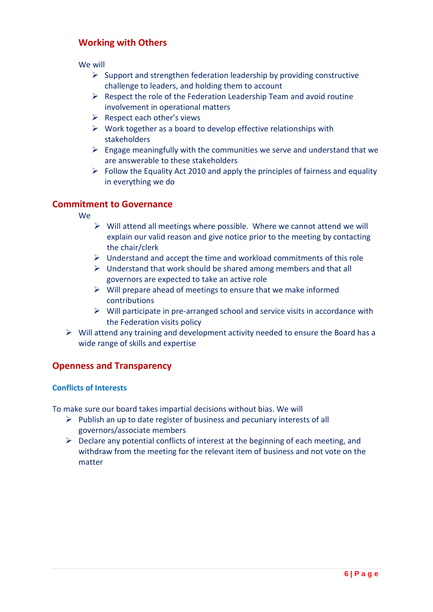## **Working with Others**

We will

- $\triangleright$  Support and strengthen federation leadership by providing constructive challenge to leaders, and holding them to account
- $\triangleright$  Respect the role of the Federation Leadership Team and avoid routine involvement in operational matters
- $\triangleright$  Respect each other's views
- $\triangleright$  Work together as a board to develop effective relationships with stakeholders
- $\triangleright$  Engage meaningfully with the communities we serve and understand that we are answerable to these stakeholders
- $\triangleright$  Follow the Equality Act 2010 and apply the principles of fairness and equality in everything we do

## **Commitment to Governance**

We

- $\triangleright$  Will attend all meetings where possible. Where we cannot attend we will explain our valid reason and give notice prior to the meeting by contacting the chair/clerk
- $\triangleright$  Understand and accept the time and workload commitments of this role
- $\triangleright$  Understand that work should be shared among members and that all governors are expected to take an active role
- $\triangleright$  Will prepare ahead of meetings to ensure that we make informed contributions
- $\triangleright$  Will participate in pre-arranged school and service visits in accordance with the Federation visits policy
- $\triangleright$  Will attend any training and development activity needed to ensure the Board has a wide range of skills and expertise

### **Openness and Transparency**

#### **Conflicts of Interests**

To make sure our board takes impartial decisions without bias. We will

- $\triangleright$  Publish an up to date register of business and pecuniary interests of all governors/associate members
- $\triangleright$  Declare any potential conflicts of interest at the beginning of each meeting, and withdraw from the meeting for the relevant item of business and not vote on the matter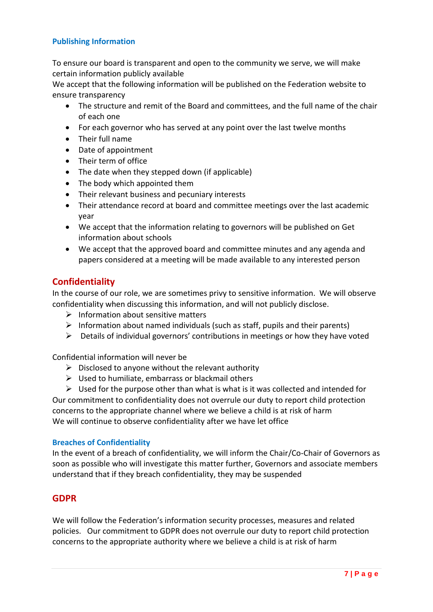#### **Publishing Information**

To ensure our board is transparent and open to the community we serve, we will make certain information publicly available

We accept that the following information will be published on the Federation website to ensure transparency

- The structure and remit of the Board and committees, and the full name of the chair of each one
- For each governor who has served at any point over the last twelve months
- Their full name
- Date of appointment
- Their term of office
- The date when they stepped down (if applicable)
- The body which appointed them
- Their relevant business and pecuniary interests
- Their attendance record at board and committee meetings over the last academic year
- We accept that the information relating to governors will be published on Get information about schools
- We accept that the approved board and committee minutes and any agenda and papers considered at a meeting will be made available to any interested person

### **Confidentiality**

In the course of our role, we are sometimes privy to sensitive information. We will observe confidentiality when discussing this information, and will not publicly disclose.

- $\triangleright$  Information about sensitive matters
- $\triangleright$  Information about named individuals (such as staff, pupils and their parents)
- $\triangleright$  Details of individual governors' contributions in meetings or how they have voted

Confidential information will never be

- $\triangleright$  Disclosed to anyone without the relevant authority
- $\triangleright$  Used to humiliate, embarrass or blackmail others
- $\triangleright$  Used for the purpose other than what is what is it was collected and intended for

Our commitment to confidentiality does not overrule our duty to report child protection concerns to the appropriate channel where we believe a child is at risk of harm We will continue to observe confidentiality after we have let office

#### **Breaches of Confidentiality**

In the event of a breach of confidentiality, we will inform the Chair/Co-Chair of Governors as soon as possible who will investigate this matter further, Governors and associate members understand that if they breach confidentiality, they may be suspended

### **GDPR**

We will follow the Federation's information security processes, measures and related policies. Our commitment to GDPR does not overrule our duty to report child protection concerns to the appropriate authority where we believe a child is at risk of harm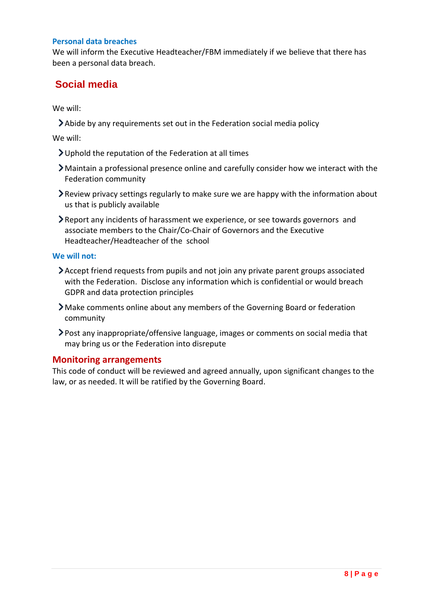#### **Personal data breaches**

We will inform the Executive Headteacher/FBM immediately if we believe that there has been a personal data breach.

# **Social media**

We will:

Abide by any requirements set out in the Federation social media policy

We will:

- Uphold the reputation of the Federation at all times
- Maintain a professional presence online and carefully consider how we interact with the Federation community
- Review privacy settings regularly to make sure we are happy with the information about us that is publicly available
- Report any incidents of harassment we experience, or see towards governors and associate members to the Chair/Co-Chair of Governors and the Executive Headteacher/Headteacher of the school

#### **We will not:**

- Accept friend requests from pupils and not join any private parent groups associated with the Federation. Disclose any information which is confidential or would breach GDPR and data protection principles
- Make comments online about any members of the Governing Board or federation community
- Post [any inappropriate/offensive language, images or comments on social media](https://schoolgovernors.thekeysupport.com/uid/d52096c0-a2e8-4a55-879b-30477993d218/) that may bring us or the Federation into disrepute

### **Monitoring arrangements**

This code of conduct will be reviewed and agreed annually, upon significant changes to the law, or as needed. It will be ratified by the Governing Board.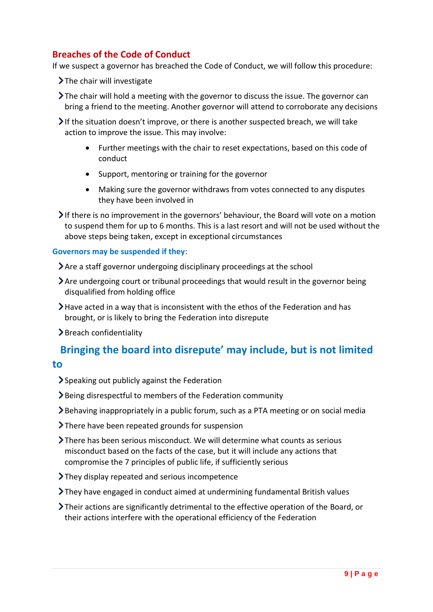# **Breaches of the Code of Conduct**

If we suspect a governor has breached the Code of Conduct, we will follow this procedure:

 $\blacktriangleright$  The chair will investigate

The chair will hold a meeting with the governor to discuss the issue. The governor can bring a friend to the meeting. Another governor will attend to corroborate any decisions

If the situation doesn't improve, or there is another suspected breach, we will take action to improve the issue. This may involve:

- Further meetings with the chair to reset expectations, based on this code of conduct
- Support, mentoring or training for the governor
- Making sure the governor withdraws from votes connected to any disputes they have been involved in

If there is no improvement in the governors' behaviour, the Board will vote on a motion to suspend them for up to 6 months. This is a last resort and will not be used without the above steps being taken, except in exceptional circumstances

#### **Governors may be suspended if they**:

Are a staff governor undergoing disciplinary proceedings at the school

- Are undergoing court or tribunal proceedings that would result in the governor being disqualified from holding office
- Have acted in a way that is inconsistent with the ethos of the Federation and has brought, or is likely to bring the Federation into disrepute

> Breach confidentiality

# **Bringing the board into disrepute' may include, but is not limited**

### **to**

- $\geq$  Speaking out publicly against the Federation
- Being disrespectful to members of the Federation community
- Behaving inappropriately in a public forum, such as a PTA meeting or on social media
- > There have been repeated grounds for suspension
- There has been serious misconduct. We will determine what counts as serious misconduct based on the facts of the case, but it will include any actions that compromise the 7 principles of public life, if sufficiently serious
- >They display repeated and serious incompetence
- They have engaged in conduct aimed at undermining fundamental British values
- Their actions are significantly detrimental to the effective operation of the Board, or their actions interfere with the operational efficiency of the Federation